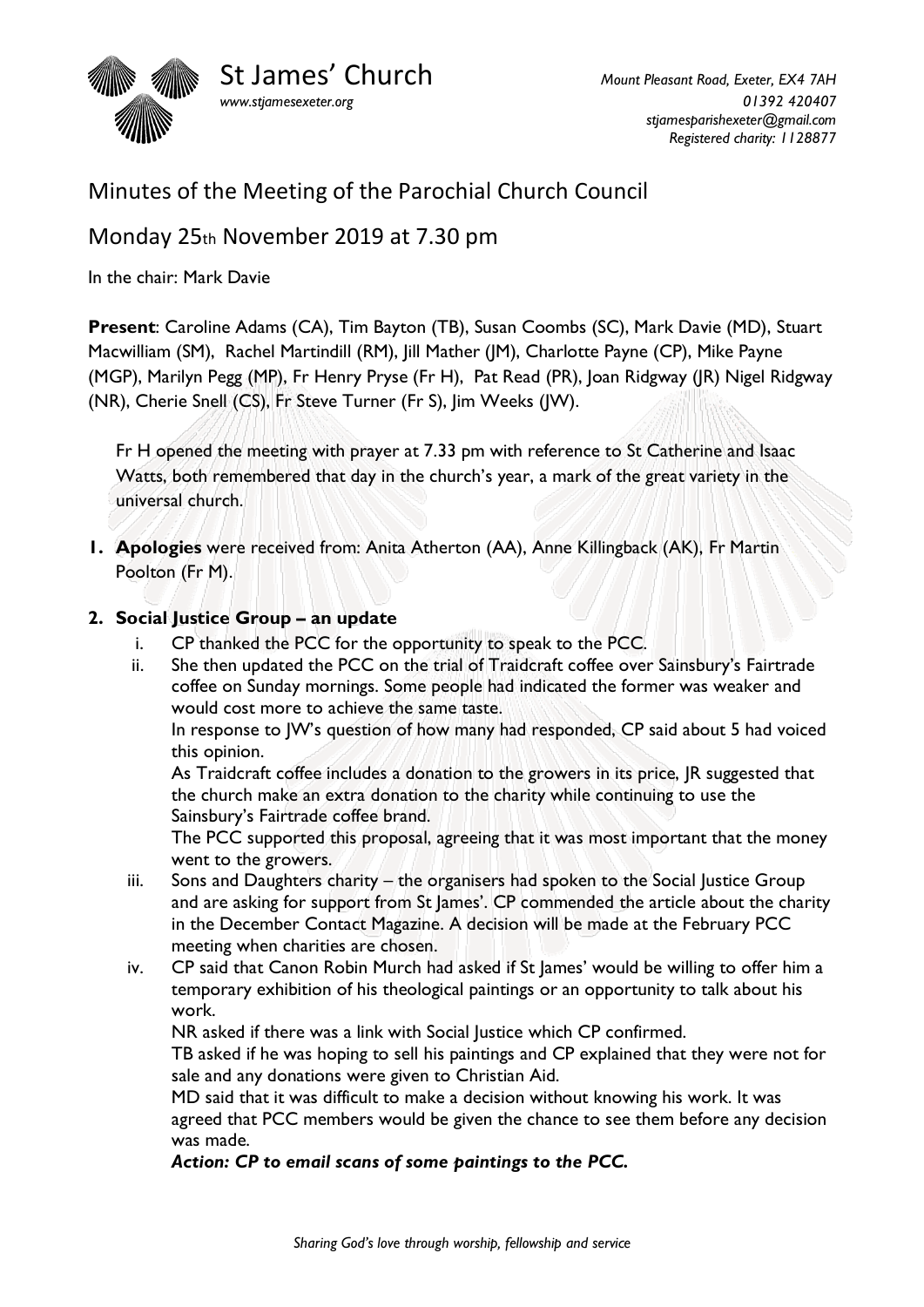

# Minutes of the Meeting of the Parochial Church Council

Monday 25th November 2019 at 7.30 pm

In the chair: Mark Davie

**Present**: Caroline Adams (CA), Tim Bayton (TB), Susan Coombs (SC), Mark Davie (MD), Stuart Macwilliam (SM), Rachel Martindill (RM), Jill Mather (JM), Charlotte Payne (CP), Mike Payne (MGP), Marilyn Pegg (MP), Fr Henry Pryse (Fr H), Pat Read (PR), Joan Ridgway (JR) Nigel Ridgway (NR), Cherie Snell (CS), Fr Steve Turner (Fr S), Jim Weeks (JW).

Fr H opened the meeting with prayer at 7.33 pm with reference to St Catherine and Isaac Watts, both remembered that day in the church's year, a mark of the great variety in the universal church.

**1. Apologies** were received from: Anita Atherton (AA), Anne Killingback (AK), Fr Martin Poolton (Fr M).

## **2. Social Justice Group – an update**

- i. CP thanked the PCC for the opportunity to speak to the PCC.
- ii. She then updated the PCC on the trial of Traidcraft coffee over Sainsbury's Fairtrade coffee on Sunday mornings. Some people had indicated the former was weaker and would cost more to achieve the same taste.

In response to JW's question of how many had responded, CP said about 5 had voiced this opinion.

As Traidcraft coffee includes a donation to the growers in its price, JR suggested that the church make an extra donation to the charity while continuing to use the Sainsbury's Fairtrade coffee brand.

The PCC supported this proposal, agreeing that it was most important that the money went to the growers.

- iii. Sons and Daughters charity the organisers had spoken to the Social Justice Group and are asking for support from St James'. CP commended the article about the charity in the December Contact Magazine. A decision will be made at the February PCC meeting when charities are chosen.
- iv. CP said that Canon Robin Murch had asked if St James' would be willing to offer him a temporary exhibition of his theological paintings or an opportunity to talk about his work.

NR asked if there was a link with Social Justice which CP confirmed.

TB asked if he was hoping to sell his paintings and CP explained that they were not for sale and any donations were given to Christian Aid.

MD said that it was difficult to make a decision without knowing his work. It was agreed that PCC members would be given the chance to see them before any decision was made.

#### *Action: CP to email scans of some paintings to the PCC.*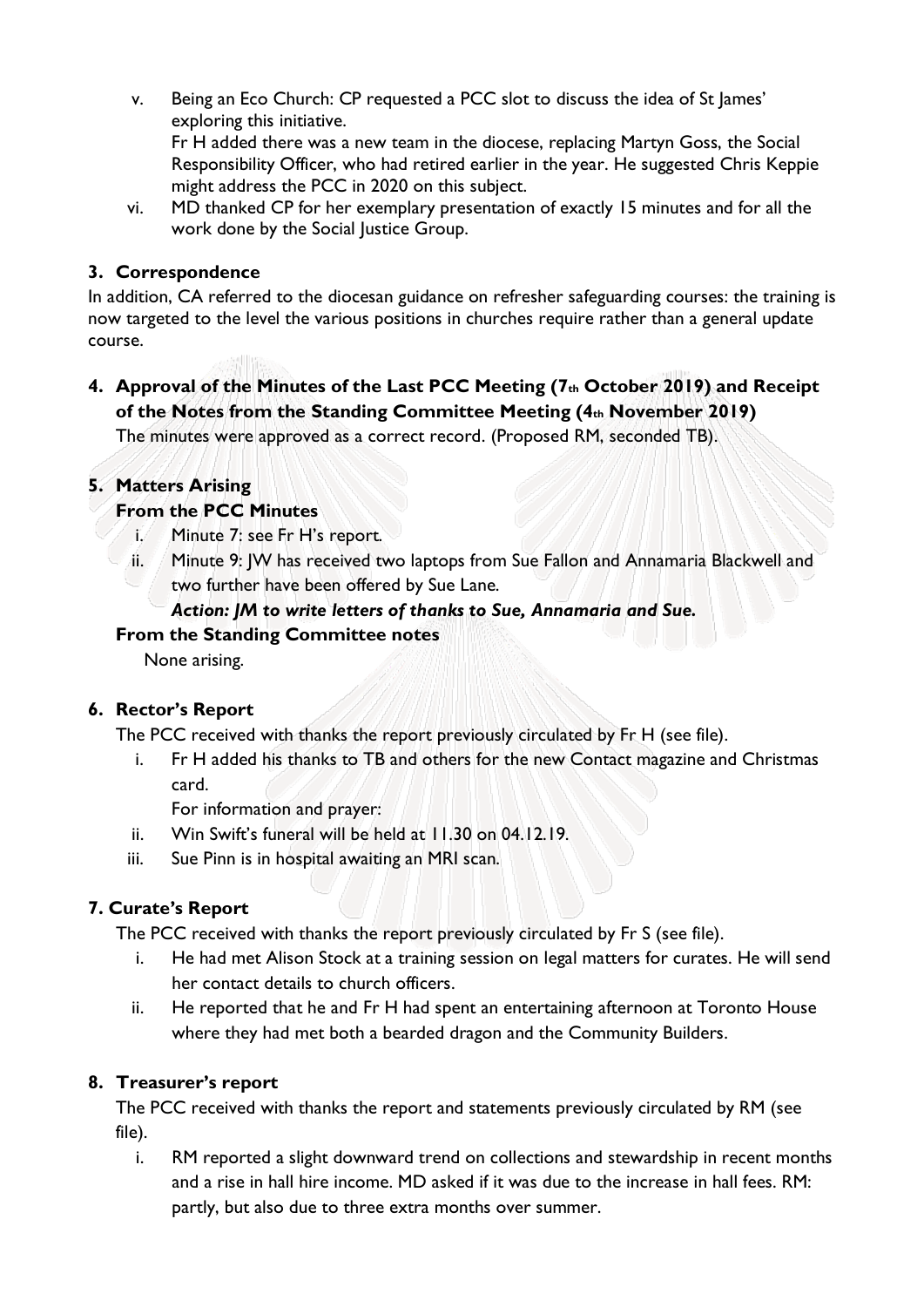- v. Being an Eco Church: CP requested a PCC slot to discuss the idea of St James' exploring this initiative. Fr H added there was a new team in the diocese, replacing Martyn Goss, the Social Responsibility Officer, who had retired earlier in the year. He suggested Chris Keppie might address the PCC in 2020 on this subject.
- vi. MD thanked CP for her exemplary presentation of exactly 15 minutes and for all the work done by the Social Justice Group.

#### **3. Correspondence**

In addition, CA referred to the diocesan guidance on refresher safeguarding courses: the training is now targeted to the level the various positions in churches require rather than a general update course.

**4. Approval of the Minutes of the Last PCC Meeting (7th October 2019) and Receipt of the Notes from the Standing Committee Meeting (4th November 2019)** The minutes were approved as a correct record. (Proposed RM, seconded TB).

## **5. Matters Arising**

# **From the PCC Minutes**

- i. Minute 7: see Fr H's report.
- ii. Minute 9: JW has received two laptops from Sue Fallon and Annamaria Blackwell and two further have been offered by Sue Lane.

## *Action: JM to write letters of thanks to Sue, Annamaria and Sue.*

## **From the Standing Committee notes**

None arising.

## **6. Rector's Report**

The PCC received with thanks the report previously circulated by Fr H (see file).

i. Fr H added his thanks to TB and others for the new Contact magazine and Christmas card.

For information and prayer:

- ii. Win Swift's funeral will be held at 11.30 on 04.12.19.
- iii. Sue Pinn is in hospital awaiting an MRI scan.

## **7. Curate's Report**

The PCC received with thanks the report previously circulated by Fr S (see file).

- i. He had met Alison Stock at a training session on legal matters for curates. He will send her contact details to church officers.
- ii. He reported that he and Fr H had spent an entertaining afternoon at Toronto House where they had met both a bearded dragon and the Community Builders.

## **8. Treasurer's report**

The PCC received with thanks the report and statements previously circulated by RM (see file).

i. RM reported a slight downward trend on collections and stewardship in recent months and a rise in hall hire income. MD asked if it was due to the increase in hall fees. RM: partly, but also due to three extra months over summer.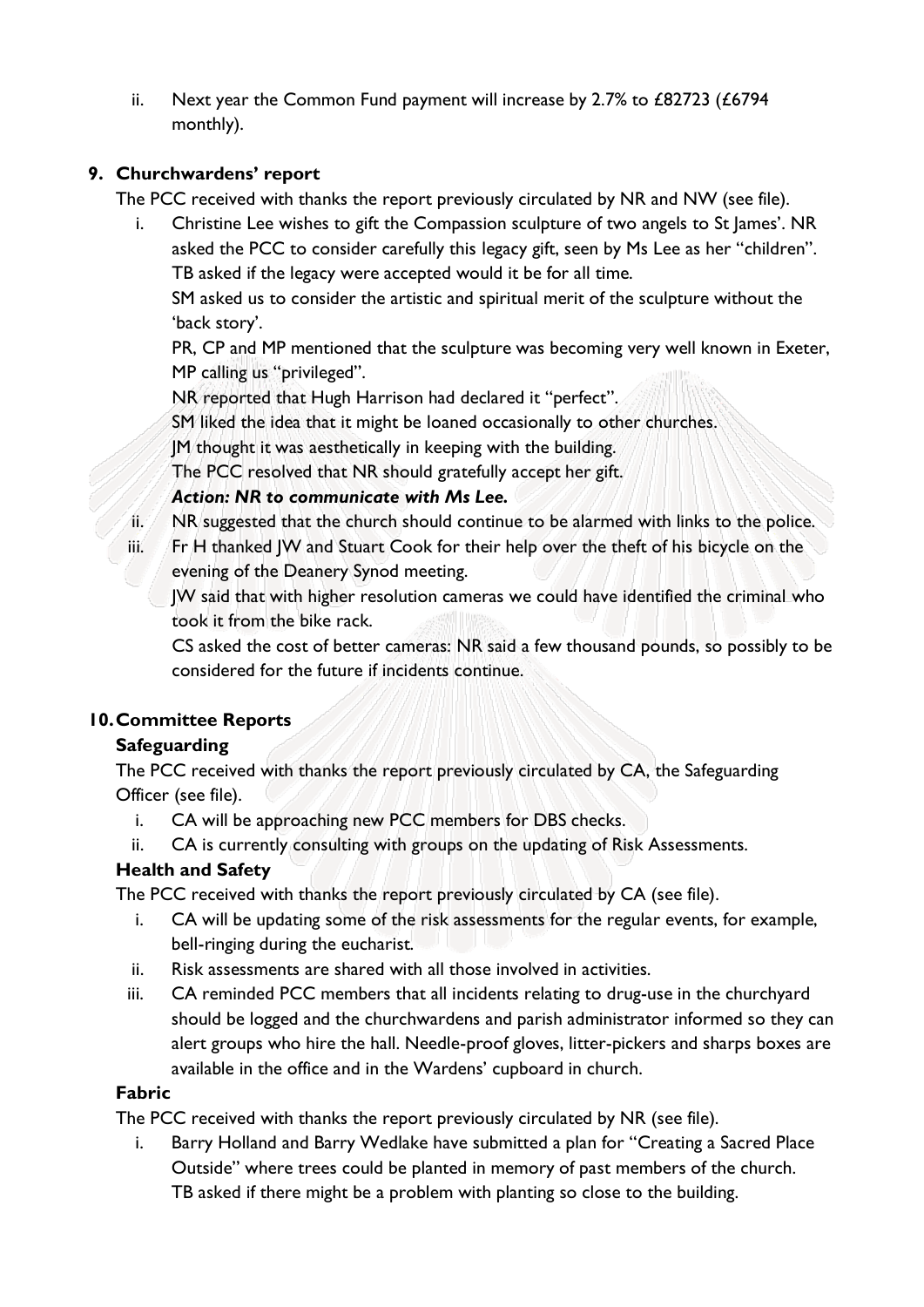ii. Next year the Common Fund payment will increase by 2.7% to £82723 (£6794 monthly).

#### **9. Churchwardens' report**

The PCC received with thanks the report previously circulated by NR and NW (see file).

i. Christine Lee wishes to gift the Compassion sculpture of two angels to St James'. NR asked the PCC to consider carefully this legacy gift, seen by Ms Lee as her "children". TB asked if the legacy were accepted would it be for all time.

SM asked us to consider the artistic and spiritual merit of the sculpture without the 'back story'.

PR, CP and MP mentioned that the sculpture was becoming very well known in Exeter, MP calling us "privileged".

NR reported that Hugh Harrison had declared it "perfect".

SM liked the idea that it might be loaned occasionally to other churches.

JM thought it was aesthetically in keeping with the building.

The PCC resolved that NR should gratefully accept her gift.

#### *Action: NR to communicate with Ms Lee.*

- ii. NR suggested that the church should continue to be alarmed with links to the police.
- iii. Fr H thanked JW and Stuart Cook for their help over the theft of his bicycle on the evening of the Deanery Synod meeting.

JW said that with higher resolution cameras we could have identified the criminal who took it from the bike rack.

CS asked the cost of better cameras: NR said a few thousand pounds, so possibly to be considered for the future if incidents continue.

## **10.Committee Reports**

## **Safeguarding**

The PCC received with thanks the report previously circulated by CA, the Safeguarding Officer (see file).

- i. CA will be approaching new PCC members for DBS checks.
- ii. CA is currently consulting with groups on the updating of Risk Assessments.

## **Health and Safety**

The PCC received with thanks the report previously circulated by CA (see file).

- i. CA will be updating some of the risk assessments for the regular events, for example, bell-ringing during the eucharist.
- ii. Risk assessments are shared with all those involved in activities.
- iii. CA reminded PCC members that all incidents relating to drug-use in the churchyard should be logged and the churchwardens and parish administrator informed so they can alert groups who hire the hall. Needle-proof gloves, litter-pickers and sharps boxes are available in the office and in the Wardens' cupboard in church.

#### **Fabric**

The PCC received with thanks the report previously circulated by NR (see file).

i. Barry Holland and Barry Wedlake have submitted a plan for "Creating a Sacred Place Outside" where trees could be planted in memory of past members of the church. TB asked if there might be a problem with planting so close to the building.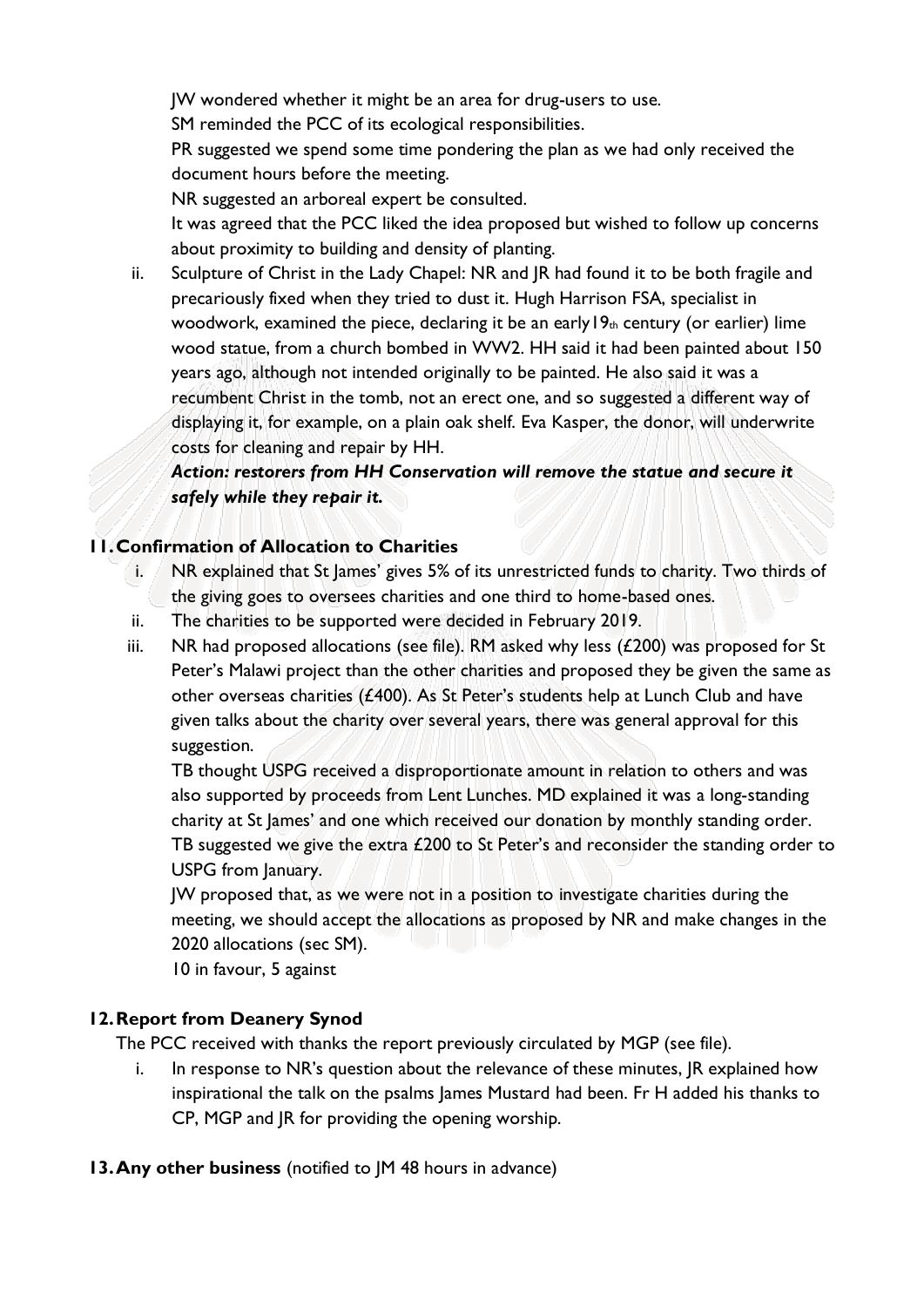JW wondered whether it might be an area for drug-users to use.

SM reminded the PCC of its ecological responsibilities.

PR suggested we spend some time pondering the plan as we had only received the document hours before the meeting.

NR suggested an arboreal expert be consulted.

It was agreed that the PCC liked the idea proposed but wished to follow up concerns about proximity to building and density of planting.

ii. Sculpture of Christ in the Lady Chapel: NR and JR had found it to be both fragile and precariously fixed when they tried to dust it. Hugh Harrison FSA, specialist in woodwork, examined the piece, declaring it be an early  $19<sub>th</sub>$  century (or earlier) lime wood statue, from a church bombed in WW2. HH said it had been painted about 150 years ago, although not intended originally to be painted. He also said it was a recumbent Christ in the tomb, not an erect one, and so suggested a different way of displaying it, for example, on a plain oak shelf. Eva Kasper, the donor, will underwrite costs for cleaning and repair by HH.

*Action: restorers from HH Conservation will remove the statue and secure it safely while they repair it.* 

#### **11.Confirmation of Allocation to Charities**

- i. NR explained that St James' gives 5% of its unrestricted funds to charity. Two thirds of the giving goes to oversees charities and one third to home-based ones.
- ii. The charities to be supported were decided in February 2019.
- iii. NR had proposed allocations (see file). RM asked why less  $(E200)$  was proposed for St Peter's Malawi project than the other charities and proposed they be given the same as other overseas charities (£400). As St Peter's students help at Lunch Club and have given talks about the charity over several years, there was general approval for this suggestion.

TB thought USPG received a disproportionate amount in relation to others and was also supported by proceeds from Lent Lunches. MD explained it was a long-standing charity at St James' and one which received our donation by monthly standing order. TB suggested we give the extra  $£200$  to St Peter's and reconsider the standing order to USPG from January.

JW proposed that, as we were not in a position to investigate charities during the meeting, we should accept the allocations as proposed by NR and make changes in the 2020 allocations (sec SM).

10 in favour, 5 against

## **12.Report from Deanery Synod**

The PCC received with thanks the report previously circulated by MGP (see file).

- i. In response to NR's question about the relevance of these minutes, JR explained how inspirational the talk on the psalms James Mustard had been. Fr H added his thanks to CP, MGP and JR for providing the opening worship.
- **13.Any other business** (notified to JM 48 hours in advance)